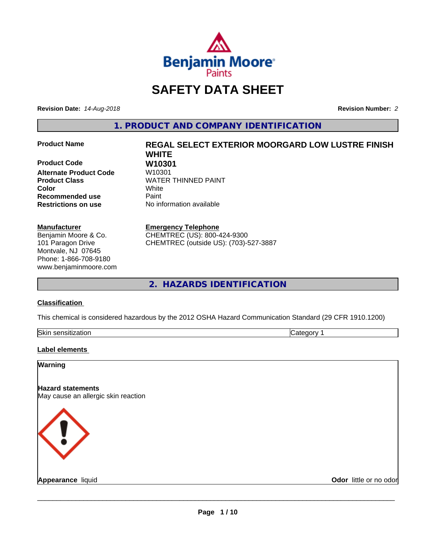

## **SAFETY DATA SHEET**

**Revision Date:** *14-Aug-2018* **Revision Number:** *2*

**1. PRODUCT AND COMPANY IDENTIFICATION**

**Product Code W10301 Alternate Product Code Color** White **Recommended use Caint Restrictions on use** No information available

#### **Manufacturer**

Benjamin Moore & Co. 101 Paragon Drive Montvale, NJ 07645 Phone: 1-866-708-9180 www.benjaminmoore.com

# **Product Name REGAL SELECT EXTERIOR MOORGARD LOW LUSTRE FINISH WHITE Product Class WATER THINNED PAINT**

#### **Emergency Telephone**

CHEMTREC (US): 800-424-9300 CHEMTREC (outside US): (703)-527-3887

**2. HAZARDS IDENTIFICATION**

#### **Classification**

This chemical is considered hazardous by the 2012 OSHA Hazard Communication Standard (29 CFR 1910.1200)

| Skin<br>aisilleallui .<br>55 J<br>. |  |
|-------------------------------------|--|

#### **Label elements**

#### **Warning**

**Hazard statements** May cause an allergic skin reaction



**Appearance** liquid **Odor in the original of the original of the original of the original of the original of the original of the original of the original of the original of the original of the original of the original of t**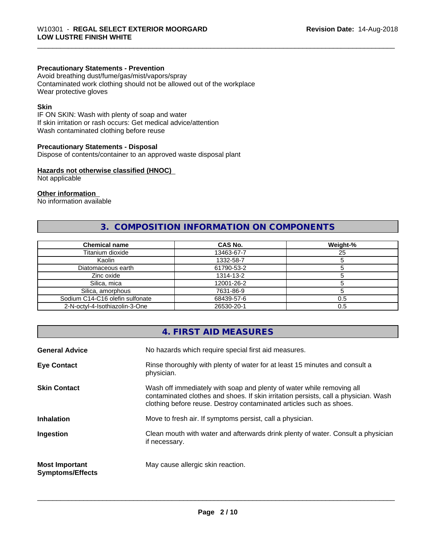#### **Precautionary Statements - Prevention**

Avoid breathing dust/fume/gas/mist/vapors/spray Contaminated work clothing should not be allowed out of the workplace Wear protective gloves

#### **Skin**

IF ON SKIN: Wash with plenty of soap and water If skin irritation or rash occurs: Get medical advice/attention Wash contaminated clothing before reuse

#### **Precautionary Statements - Disposal**

Dispose of contents/container to an approved waste disposal plant

#### **Hazards not otherwise classified (HNOC)**

Not applicable

#### **Other information**

No information available

## **3. COMPOSITION INFORMATION ON COMPONENTS**

| <b>Chemical name</b>            | <b>CAS No.</b> | Weight-% |
|---------------------------------|----------------|----------|
| Titanium dioxide                | 13463-67-7     | 25       |
| Kaolin                          | 1332-58-7      |          |
| Diatomaceous earth              | 61790-53-2     |          |
| Zinc oxide                      | 1314-13-2      |          |
| Silica, mica                    | 12001-26-2     |          |
| Silica, amorphous               | 7631-86-9      |          |
| Sodium C14-C16 olefin sulfonate | 68439-57-6     | 0.5      |
| 2-N-octvl-4-Isothiazolin-3-One  | 26530-20-1     | 0.5      |

|                                                  | 4. FIRST AID MEASURES                                                                                                                                                                                                               |
|--------------------------------------------------|-------------------------------------------------------------------------------------------------------------------------------------------------------------------------------------------------------------------------------------|
| <b>General Advice</b>                            | No hazards which require special first aid measures.                                                                                                                                                                                |
| <b>Eye Contact</b>                               | Rinse thoroughly with plenty of water for at least 15 minutes and consult a<br>physician.                                                                                                                                           |
| <b>Skin Contact</b>                              | Wash off immediately with soap and plenty of water while removing all<br>contaminated clothes and shoes. If skin irritation persists, call a physician. Wash<br>clothing before reuse. Destroy contaminated articles such as shoes. |
| <b>Inhalation</b>                                | Move to fresh air. If symptoms persist, call a physician.                                                                                                                                                                           |
| Ingestion                                        | Clean mouth with water and afterwards drink plenty of water. Consult a physician<br>if necessary.                                                                                                                                   |
| <b>Most Important</b><br><b>Symptoms/Effects</b> | May cause allergic skin reaction.                                                                                                                                                                                                   |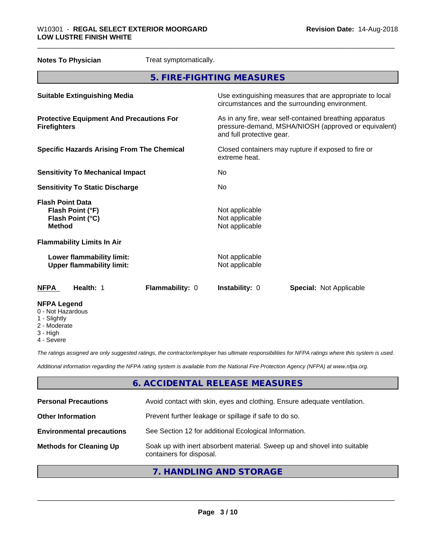| <b>Notes To Physician</b>                                                        | Treat symptomatically. |                                                    |                                                                                                                 |
|----------------------------------------------------------------------------------|------------------------|----------------------------------------------------|-----------------------------------------------------------------------------------------------------------------|
|                                                                                  |                        | 5. FIRE-FIGHTING MEASURES                          |                                                                                                                 |
| <b>Suitable Extinguishing Media</b>                                              |                        |                                                    | Use extinguishing measures that are appropriate to local<br>circumstances and the surrounding environment.      |
| <b>Protective Equipment And Precautions For</b><br><b>Firefighters</b>           |                        | and full protective gear.                          | As in any fire, wear self-contained breathing apparatus<br>pressure-demand, MSHA/NIOSH (approved or equivalent) |
| <b>Specific Hazards Arising From The Chemical</b>                                |                        | extreme heat.                                      | Closed containers may rupture if exposed to fire or                                                             |
| <b>Sensitivity To Mechanical Impact</b>                                          |                        | No                                                 |                                                                                                                 |
| <b>Sensitivity To Static Discharge</b>                                           |                        | No                                                 |                                                                                                                 |
| <b>Flash Point Data</b><br>Flash Point (°F)<br>Flash Point (°C)<br><b>Method</b> |                        | Not applicable<br>Not applicable<br>Not applicable |                                                                                                                 |
| <b>Flammability Limits In Air</b>                                                |                        |                                                    |                                                                                                                 |
| Lower flammability limit:<br><b>Upper flammability limit:</b>                    |                        | Not applicable<br>Not applicable                   |                                                                                                                 |
| Health: 1<br><b>NFPA</b>                                                         | Flammability: 0        | Instability: 0                                     | <b>Special: Not Applicable</b>                                                                                  |
| <b>NFPA Legend</b><br>0 - Not Hazardous<br>1 - Slightly                          |                        |                                                    |                                                                                                                 |

- 2 Moderate
- 3 High
- 4 Severe

*The ratings assigned are only suggested ratings, the contractor/employer has ultimate responsibilities for NFPA ratings where this system is used.*

*Additional information regarding the NFPA rating system is available from the National Fire Protection Agency (NFPA) at www.nfpa.org.*

## **6. ACCIDENTAL RELEASE MEASURES**

| Avoid contact with skin, eyes and clothing. Ensure adequate ventilation.<br><b>Personal Precautions</b><br>Prevent further leakage or spillage if safe to do so.<br><b>Other Information</b><br>See Section 12 for additional Ecological Information.<br><b>Environmental precautions</b><br>Soak up with inert absorbent material. Sweep up and shovel into suitable<br><b>Methods for Cleaning Up</b> |                          |
|---------------------------------------------------------------------------------------------------------------------------------------------------------------------------------------------------------------------------------------------------------------------------------------------------------------------------------------------------------------------------------------------------------|--------------------------|
|                                                                                                                                                                                                                                                                                                                                                                                                         |                          |
|                                                                                                                                                                                                                                                                                                                                                                                                         |                          |
|                                                                                                                                                                                                                                                                                                                                                                                                         |                          |
|                                                                                                                                                                                                                                                                                                                                                                                                         | containers for disposal. |

## **7. HANDLING AND STORAGE**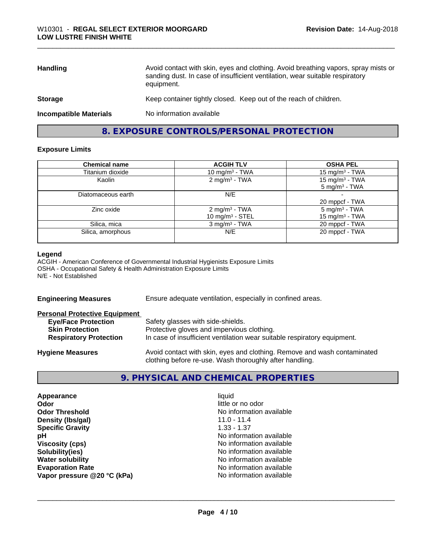| <b>Handling</b>               | Avoid contact with skin, eyes and clothing. Avoid breathing vapors, spray mists or<br>sanding dust. In case of insufficient ventilation, wear suitable respiratory<br>equipment. |
|-------------------------------|----------------------------------------------------------------------------------------------------------------------------------------------------------------------------------|
| <b>Storage</b>                | Keep container tightly closed. Keep out of the reach of children.                                                                                                                |
| <b>Incompatible Materials</b> | No information available                                                                                                                                                         |

## **8. EXPOSURE CONTROLS/PERSONAL PROTECTION**

#### **Exposure Limits**

| <b>Chemical name</b> | <b>ACGIH TLV</b>                                | <b>OSHA PEL</b>                               |
|----------------------|-------------------------------------------------|-----------------------------------------------|
| Titanium dioxide     | 10 mg/m $3$ - TWA                               | 15 mg/m <sup>3</sup> - TWA                    |
| Kaolin               | $2 \text{ mg/m}^3$ - TWA                        | 15 mg/m $3$ - TWA<br>$5 \text{ mg/m}^3$ - TWA |
| Diatomaceous earth   | N/E                                             | 20 mppcf - TWA                                |
| Zinc oxide           | 2 mg/m <sup>3</sup> - TWA<br>10 mg/m $3 -$ STEL | $5 \text{ mg/m}^3$ - TWA<br>15 mg/m $3$ - TWA |
| Silica, mica         | $3$ mg/m <sup>3</sup> - TWA                     | 20 mppcf - TWA                                |
| Silica, amorphous    | N/E                                             | 20 mppcf - TWA                                |

#### **Legend**

ACGIH - American Conference of Governmental Industrial Hygienists Exposure Limits OSHA - Occupational Safety & Health Administration Exposure Limits N/E - Not Established

| <b>Engineering Measures</b> | Ensure adequate ventilation, especially in confined areas. |
|-----------------------------|------------------------------------------------------------|
|                             |                                                            |

| <b>Personal Protective Equipment</b> |                                                                                                                                     |
|--------------------------------------|-------------------------------------------------------------------------------------------------------------------------------------|
| <b>Eye/Face Protection</b>           | Safety glasses with side-shields.                                                                                                   |
| <b>Skin Protection</b>               | Protective gloves and impervious clothing.                                                                                          |
| <b>Respiratory Protection</b>        | In case of insufficient ventilation wear suitable respiratory equipment.                                                            |
| <b>Hygiene Measures</b>              | Avoid contact with skin, eyes and clothing. Remove and wash contaminated<br>clothing before re-use. Wash thoroughly after handling. |

## **9. PHYSICAL AND CHEMICAL PROPERTIES**

| Appearance                  | liquid                   |
|-----------------------------|--------------------------|
| Odor                        | little or no odor        |
| <b>Odor Threshold</b>       | No information available |
| Density (Ibs/gal)           | $11.0 - 11.4$            |
| <b>Specific Gravity</b>     | $1.33 - 1.37$            |
| рH                          | No information available |
| <b>Viscosity (cps)</b>      | No information available |
| Solubility(ies)             | No information available |
| <b>Water solubility</b>     | No information available |
| <b>Evaporation Rate</b>     | No information available |
| Vapor pressure @20 °C (kPa) | No information available |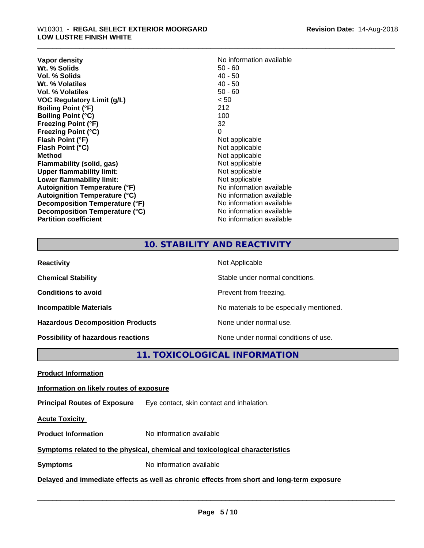## \_\_\_\_\_\_\_\_\_\_\_\_\_\_\_\_\_\_\_\_\_\_\_\_\_\_\_\_\_\_\_\_\_\_\_\_\_\_\_\_\_\_\_\_\_\_\_\_\_\_\_\_\_\_\_\_\_\_\_\_\_\_\_\_\_\_\_\_\_\_\_\_\_\_\_\_\_\_\_\_\_\_\_\_\_\_\_\_\_\_\_\_\_ W10301 - **REGAL SELECT EXTERIOR MOORGARD LOW LUSTRE FINISH WHITE**

| Vapor density                        | No information available |
|--------------------------------------|--------------------------|
| Wt. % Solids                         | $50 - 60$                |
| Vol. % Solids                        | 40 - 50                  |
| Wt. % Volatiles                      | $40 - 50$                |
| Vol. % Volatiles                     | $50 - 60$                |
| <b>VOC Regulatory Limit (g/L)</b>    | < 50                     |
| <b>Boiling Point (°F)</b>            | 212                      |
| <b>Boiling Point (°C)</b>            | 100                      |
| <b>Freezing Point (°F)</b>           | 32                       |
| <b>Freezing Point (°C)</b>           | 0                        |
| Flash Point (°F)                     | Not applicable           |
| Flash Point (°C)                     | Not applicable           |
| Method                               | Not applicable           |
| Flammability (solid, gas)            | Not applicable           |
| <b>Upper flammability limit:</b>     | Not applicable           |
| Lower flammability limit:            | Not applicable           |
| Autoignition Temperature (°F)        | No information available |
| <b>Autoignition Temperature (°C)</b> | No information available |
| Decomposition Temperature (°F)       | No information available |
| Decomposition Temperature (°C)       | No information available |
| <b>Partition coefficient</b>         | No information available |

## **10. STABILITY AND REACTIVITY**

| <b>Reactivity</b>                         | Not Applicable                           |
|-------------------------------------------|------------------------------------------|
| <b>Chemical Stability</b>                 | Stable under normal conditions.          |
| <b>Conditions to avoid</b>                | Prevent from freezing.                   |
| <b>Incompatible Materials</b>             | No materials to be especially mentioned. |
| <b>Hazardous Decomposition Products</b>   | None under normal use.                   |
| <b>Possibility of hazardous reactions</b> | None under normal conditions of use.     |

**11. TOXICOLOGICAL INFORMATION**

**Product Information**

#### **Information on likely routes of exposure**

**Principal Routes of Exposure** Eye contact, skin contact and inhalation.

**Acute Toxicity** 

**Product Information** No information available

### **Symptoms related to the physical,chemical and toxicological characteristics**

**Symptoms** No information available

**Delayed and immediate effects as well as chronic effects from short and long-term exposure**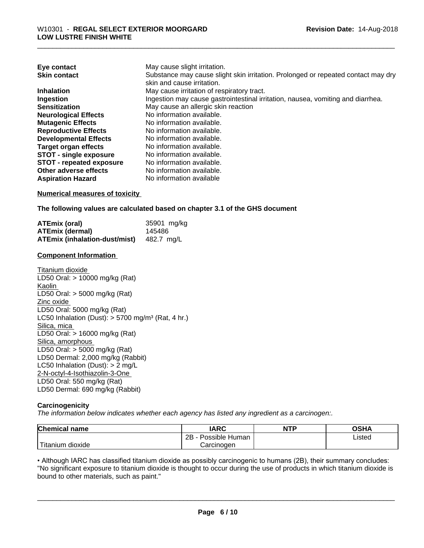| Eye contact                     | May cause slight irritation.                                                      |
|---------------------------------|-----------------------------------------------------------------------------------|
| <b>Skin contact</b>             | Substance may cause slight skin irritation. Prolonged or repeated contact may dry |
|                                 | skin and cause irritation.                                                        |
| <b>Inhalation</b>               | May cause irritation of respiratory tract.                                        |
| Ingestion                       | Ingestion may cause gastrointestinal irritation, nausea, vomiting and diarrhea.   |
| <b>Sensitization</b>            | May cause an allergic skin reaction                                               |
| <b>Neurological Effects</b>     | No information available.                                                         |
| <b>Mutagenic Effects</b>        | No information available.                                                         |
| <b>Reproductive Effects</b>     | No information available.                                                         |
| <b>Developmental Effects</b>    | No information available.                                                         |
| <b>Target organ effects</b>     | No information available.                                                         |
| <b>STOT - single exposure</b>   | No information available.                                                         |
| <b>STOT - repeated exposure</b> | No information available.                                                         |
| Other adverse effects           | No information available.                                                         |
| <b>Aspiration Hazard</b>        | No information available                                                          |

#### **Numerical measures of toxicity**

**The following values are calculated based on chapter 3.1 of the GHS document**

| <b>ATEmix (oral)</b>                     | 35901 mg/kg |
|------------------------------------------|-------------|
| <b>ATEmix (dermal)</b>                   | 145486      |
| ATEmix (inhalation-dust/mist) 482.7 mg/L |             |

#### **Component Information**

Titanium dioxide LD50 Oral: > 10000 mg/kg (Rat) Kaolin LD50 Oral: > 5000 mg/kg (Rat) Zinc oxide LD50 Oral: 5000 mg/kg (Rat) LC50 Inhalation (Dust):  $> 5700$  mg/m<sup>3</sup> (Rat, 4 hr.) Silica, mica LD50 Oral: > 16000 mg/kg (Rat) Silica, amorphous LD50 Oral: > 5000 mg/kg (Rat) LD50 Dermal: 2,000 mg/kg (Rabbit) LC50 Inhalation (Dust): > 2 mg/L 2-N-octyl-4-Isothiazolin-3-One LD50 Oral: 550 mg/kg (Rat) LD50 Dermal: 690 mg/kg (Rabbit)

#### **Carcinogenicity**

*The information below indicateswhether each agency has listed any ingredient as a carcinogen:.*

| <b>Chemical name</b>  | <b>IARC</b>          | <b>NTP</b> | <b>OSHA</b> |
|-----------------------|----------------------|------------|-------------|
|                       | 2B<br>Possible Human |            | Listed      |
| Titanium<br>ı dioxide | Carcinogen           |            |             |

• Although IARC has classified titanium dioxide as possibly carcinogenic to humans (2B), their summary concludes:<br>"No significant exposure to titanium dioxide is thought to occur during the use of products in which titaniu "No significant exposure to titanium dioxide is thought to occur during the use of products in which titanium dioxide is bound to other materials, such as paint."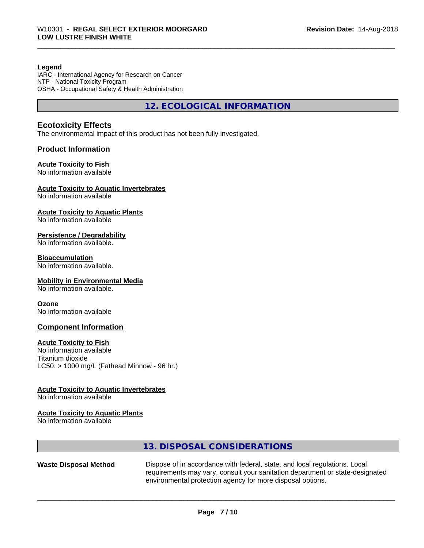#### **Legend**

IARC - International Agency for Research on Cancer NTP - National Toxicity Program OSHA - Occupational Safety & Health Administration

**12. ECOLOGICAL INFORMATION**

#### **Ecotoxicity Effects**

The environmental impact of this product has not been fully investigated.

#### **Product Information**

#### **Acute Toxicity to Fish**

No information available

#### **Acute Toxicity to Aquatic Invertebrates**

No information available

#### **Acute Toxicity to Aquatic Plants**

No information available

#### **Persistence / Degradability**

No information available.

#### **Bioaccumulation**

No information available.

#### **Mobility in Environmental Media**

No information available.

#### **Ozone**

No information available

#### **Component Information**

#### **Acute Toxicity to Fish**

No information available Titanium dioxide  $LC50:$  > 1000 mg/L (Fathead Minnow - 96 hr.)

#### **Acute Toxicity to Aquatic Invertebrates**

No information available

#### **Acute Toxicity to Aquatic Plants**

No information available

## **13. DISPOSAL CONSIDERATIONS**

Waste Disposal Method Dispose of in accordance with federal, state, and local regulations. Local requirements may vary, consult your sanitation department or state-designated environmental protection agency for more disposal options.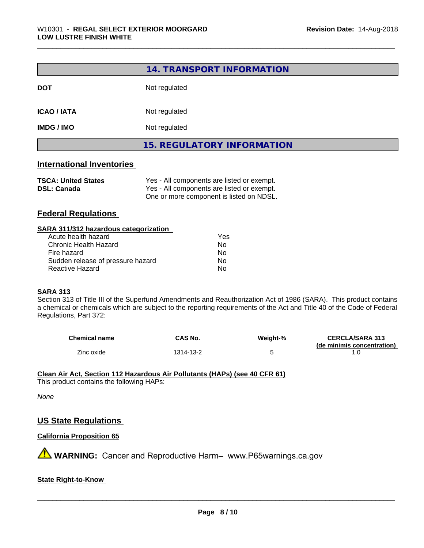|                    | 14. TRANSPORT INFORMATION         |
|--------------------|-----------------------------------|
| <b>DOT</b>         | Not regulated                     |
| <b>ICAO / IATA</b> | Not regulated                     |
| <b>IMDG / IMO</b>  | Not regulated                     |
|                    | <b>15. REGULATORY INFORMATION</b> |

#### **International Inventories**

| <b>TSCA: United States</b> | Yes - All components are listed or exempt. |
|----------------------------|--------------------------------------------|
| <b>DSL: Canada</b>         | Yes - All components are listed or exempt. |
|                            | One or more component is listed on NDSL.   |

### **Federal Regulations**

#### **SARA 311/312 hazardous categorization**

| Acute health hazard               | Yes |  |
|-----------------------------------|-----|--|
| Chronic Health Hazard             | N٥  |  |
| Fire hazard                       | N٥  |  |
| Sudden release of pressure hazard | N٥  |  |
| Reactive Hazard                   | N٥  |  |

#### **SARA 313**

Section 313 of Title III of the Superfund Amendments and Reauthorization Act of 1986 (SARA). This product contains a chemical or chemicals which are subject to the reporting requirements of the Act and Title 40 of the Code of Federal Regulations, Part 372:

| Chemical name | CAS No.   | Weight-% | <b>CERCLA/SARA 313</b>     |
|---------------|-----------|----------|----------------------------|
|               |           |          | (de minimis concentration) |
| Zinc oxide    | 1314-13-2 |          |                            |

#### **Clean Air Act,Section 112 Hazardous Air Pollutants (HAPs) (see 40 CFR 61)**

This product contains the following HAPs:

#### *None*

#### **US State Regulations**

#### **California Proposition 65**

**A** WARNING: Cancer and Reproductive Harm– www.P65warnings.ca.gov

#### **State Right-to-Know**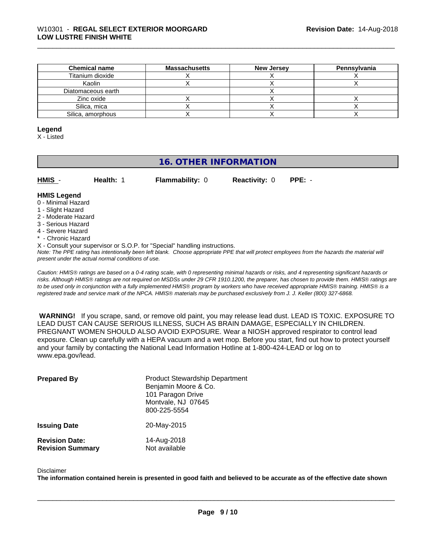| <b>Chemical name</b> | <b>Massachusetts</b> | <b>New Jersey</b> | Pennsylvania |
|----------------------|----------------------|-------------------|--------------|
| Titanium dioxide     |                      |                   |              |
| Kaolin               |                      |                   |              |
| Diatomaceous earth   |                      |                   |              |
| Zinc oxide           |                      |                   |              |
| Silica, mica         |                      |                   |              |
| Silica, amorphous    |                      |                   |              |

#### **Legend**

X - Listed

## **16. OTHER INFORMATION**

| HMIS - | <b>Health: 1</b> | <b>Flammability: 0</b> | <b>Reactivity: 0 PPE: -</b> |  |  |
|--------|------------------|------------------------|-----------------------------|--|--|
|--------|------------------|------------------------|-----------------------------|--|--|

#### **HMIS Legend**

- 0 Minimal Hazard
- 1 Slight Hazard
- 2 Moderate Hazard
- 3 Serious Hazard
- 4 Severe Hazard
- Chronic Hazard
- X Consult your supervisor or S.O.P. for "Special" handling instructions.

*Note: The PPE rating has intentionally been left blank. Choose appropriate PPE that will protect employees from the hazards the material will present under the actual normal conditions of use.*

*Caution: HMISÒ ratings are based on a 0-4 rating scale, with 0 representing minimal hazards or risks, and 4 representing significant hazards or risks. Although HMISÒ ratings are not required on MSDSs under 29 CFR 1910.1200, the preparer, has chosen to provide them. HMISÒ ratings are to be used only in conjunction with a fully implemented HMISÒ program by workers who have received appropriate HMISÒ training. HMISÒ is a registered trade and service mark of the NPCA. HMISÒ materials may be purchased exclusively from J. J. Keller (800) 327-6868.*

 **WARNING!** If you scrape, sand, or remove old paint, you may release lead dust. LEAD IS TOXIC. EXPOSURE TO LEAD DUST CAN CAUSE SERIOUS ILLNESS, SUCH AS BRAIN DAMAGE, ESPECIALLY IN CHILDREN. PREGNANT WOMEN SHOULD ALSO AVOID EXPOSURE.Wear a NIOSH approved respirator to control lead exposure. Clean up carefully with a HEPA vacuum and a wet mop. Before you start, find out how to protect yourself and your family by contacting the National Lead Information Hotline at 1-800-424-LEAD or log on to www.epa.gov/lead.

| <b>Prepared By</b>                               | <b>Product Stewardship Department</b><br>Benjamin Moore & Co.<br>101 Paragon Drive<br>Montvale, NJ 07645<br>800-225-5554 |
|--------------------------------------------------|--------------------------------------------------------------------------------------------------------------------------|
| <b>Issuing Date</b>                              | 20-May-2015                                                                                                              |
| <b>Revision Date:</b><br><b>Revision Summary</b> | 14-Aug-2018<br>Not available                                                                                             |

#### Disclaimer

The information contained herein is presented in good faith and believed to be accurate as of the effective date shown